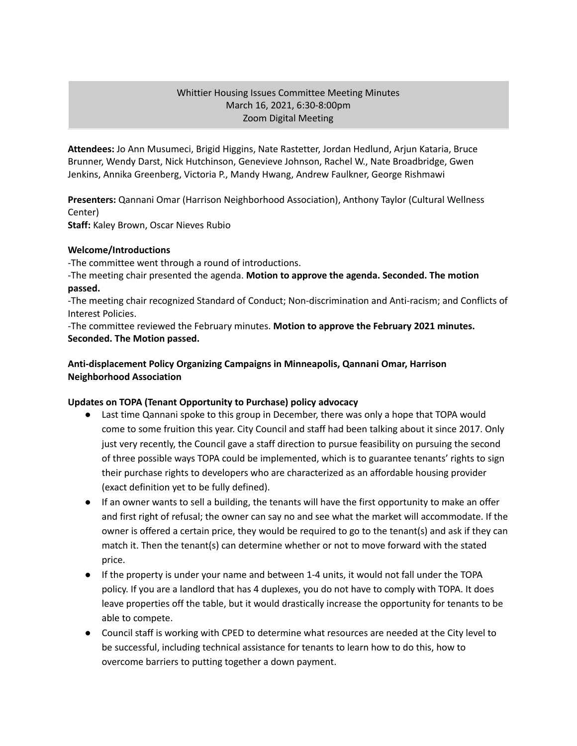### Whittier Housing Issues Committee Meeting Minutes March 16, 2021, 6:30-8:00pm Zoom Digital Meeting

**Attendees:** Jo Ann Musumeci, Brigid Higgins, Nate Rastetter, Jordan Hedlund, Arjun Kataria, Bruce Brunner, Wendy Darst, Nick Hutchinson, Genevieve Johnson, Rachel W., Nate Broadbridge, Gwen Jenkins, Annika Greenberg, Victoria P., Mandy Hwang, Andrew Faulkner, George Rishmawi

**Presenters:** Qannani Omar (Harrison Neighborhood Association), Anthony Taylor (Cultural Wellness Center)

**Staff:** Kaley Brown, Oscar Nieves Rubio

#### **Welcome/Introductions**

-The committee went through a round of introductions.

-The meeting chair presented the agenda. **Motion to approve the agenda. Seconded. The motion passed.**

-The meeting chair recognized Standard of Conduct; Non-discrimination and Anti-racism; and Conflicts of Interest Policies.

-The committee reviewed the February minutes. **Motion to approve the February 2021 minutes. Seconded. The Motion passed.**

# **Anti-displacement Policy Organizing Campaigns in Minneapolis, Qannani Omar, Harrison Neighborhood Association**

# **Updates on TOPA (Tenant Opportunity to Purchase) policy advocacy**

- Last time Qannani spoke to this group in December, there was only a hope that TOPA would come to some fruition this year. City Council and staff had been talking about it since 2017. Only just very recently, the Council gave a staff direction to pursue feasibility on pursuing the second of three possible ways TOPA could be implemented, which is to guarantee tenants' rights to sign their purchase rights to developers who are characterized as an affordable housing provider (exact definition yet to be fully defined).
- If an owner wants to sell a building, the tenants will have the first opportunity to make an offer and first right of refusal; the owner can say no and see what the market will accommodate. If the owner is offered a certain price, they would be required to go to the tenant(s) and ask if they can match it. Then the tenant(s) can determine whether or not to move forward with the stated price.
- If the property is under your name and between 1-4 units, it would not fall under the TOPA policy. If you are a landlord that has 4 duplexes, you do not have to comply with TOPA. It does leave properties off the table, but it would drastically increase the opportunity for tenants to be able to compete.
- Council staff is working with CPED to determine what resources are needed at the City level to be successful, including technical assistance for tenants to learn how to do this, how to overcome barriers to putting together a down payment.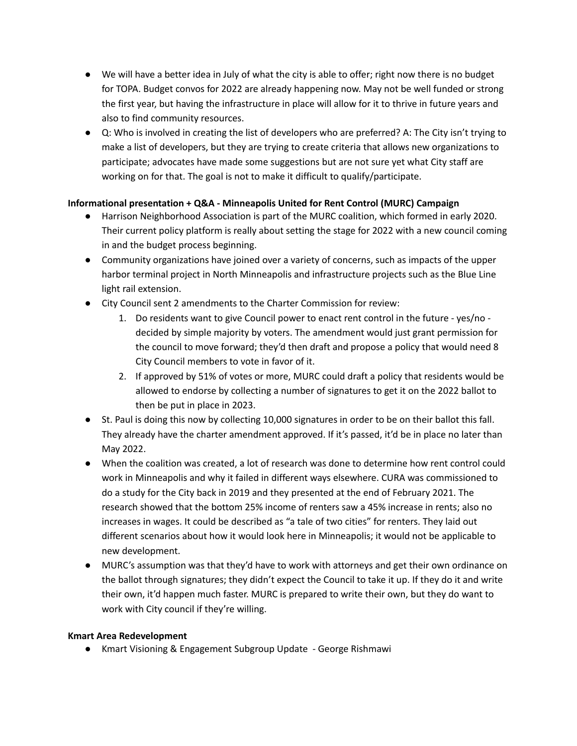- We will have a better idea in July of what the city is able to offer; right now there is no budget for TOPA. Budget convos for 2022 are already happening now. May not be well funded or strong the first year, but having the infrastructure in place will allow for it to thrive in future years and also to find community resources.
- Q: Who is involved in creating the list of developers who are preferred? A: The City isn't trying to make a list of developers, but they are trying to create criteria that allows new organizations to participate; advocates have made some suggestions but are not sure yet what City staff are working on for that. The goal is not to make it difficult to qualify/participate.

# **Informational presentation + Q&A - Minneapolis United for Rent Control (MURC) Campaign**

- Harrison Neighborhood Association is part of the MURC coalition, which formed in early 2020. Their current policy platform is really about setting the stage for 2022 with a new council coming in and the budget process beginning.
- Community organizations have joined over a variety of concerns, such as impacts of the upper harbor terminal project in North Minneapolis and infrastructure projects such as the Blue Line light rail extension.
- City Council sent 2 amendments to the Charter Commission for review:
	- 1. Do residents want to give Council power to enact rent control in the future yes/no decided by simple majority by voters. The amendment would just grant permission for the council to move forward; they'd then draft and propose a policy that would need 8 City Council members to vote in favor of it.
	- 2. If approved by 51% of votes or more, MURC could draft a policy that residents would be allowed to endorse by collecting a number of signatures to get it on the 2022 ballot to then be put in place in 2023.
- St. Paul is doing this now by collecting 10,000 signatures in order to be on their ballot this fall. They already have the charter amendment approved. If it's passed, it'd be in place no later than May 2022.
- When the coalition was created, a lot of research was done to determine how rent control could work in Minneapolis and why it failed in different ways elsewhere. CURA was commissioned to do a study for the City back in 2019 and they presented at the end of February 2021. The research showed that the bottom 25% income of renters saw a 45% increase in rents; also no increases in wages. It could be described as "a tale of two cities" for renters. They laid out different scenarios about how it would look here in Minneapolis; it would not be applicable to new development.
- MURC's assumption was that they'd have to work with attorneys and get their own ordinance on the ballot through signatures; they didn't expect the Council to take it up. If they do it and write their own, it'd happen much faster. MURC is prepared to write their own, but they do want to work with City council if they're willing.

# **Kmart Area Redevelopment**

● Kmart Visioning & Engagement Subgroup Update - George Rishmawi